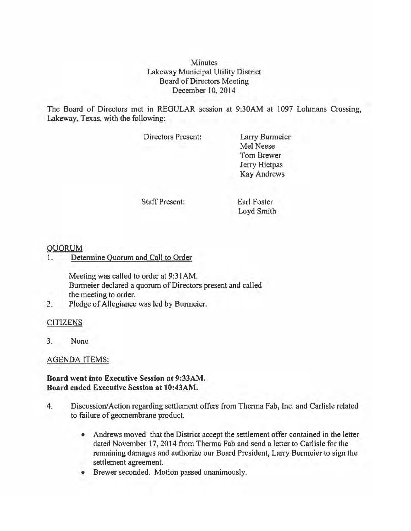**Minutes** Lakeway Municipal Utility District Board of Directors Meeting December 10,2014

The Board of Directors met in REGULAR session at 9:30AM at 1097 Lohmans Crossing, Lakeway, Texas, with the following:

Directors Present:

Larry Burmeier Mel Neese Tom Brewer Jerry Hietpas Kay Andrews

Staff Present:

Earl Foster Loyd Smith

## QUORUM

1. Determine Quorum and Call to Order

Meeting was called to order at 9:31AM. Burmeier declared a quorum of Directors present and called the meeting to order.

2. Pledge of Allegiance was led by Burmeier.

### CITIZENS

3. None

### AGENDA ITEMS:

## Board went into Executive Session at 9:33AM. Board ended Executive Session at 10:43AM.

- 4. Discussion/Action regarding settlement offers from Therma Fab, Inc. and Carlisle related to failure of geomembrane product.
	- Andrews moved that the District accept the settlement offer contained in the letter dated November 17, 2014 from Therma Fab and send a letter to Carlisle for the remaining damages and authorize our Board President, Larry Burmeier to sign the settlement agreement.
	- Brewer seconded. Motion passed unanimously.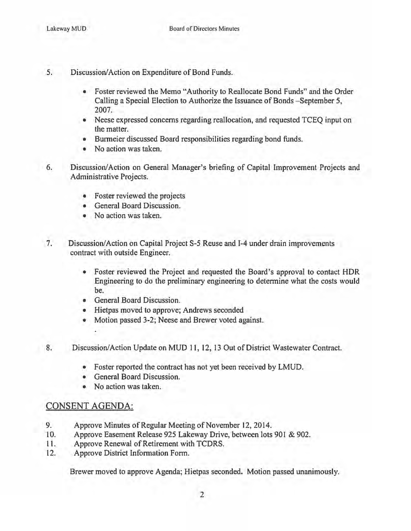- 5. Discussion/Action on Expenditure of Bond Funds.
	- Foster reviewed the Memo "Authority to Reallocate Bond Funds" and the Order Calling a Special Election to Authorize the Issuance of Bonds - September 5, 2007.
	- Neese expressed concerns regarding reallocation, and requested TCEO input on the matter.
	- Burmeier discussed Board responsibilities regarding bond funds.
	- No action was taken.
- 6. Discussion/Action on General Manager's briefing of Capital Improvement Projects and Administrative Projects.
	- Foster reviewed the projects
	- General Board Discussion.
	- No action was taken.
- 7. Discussion/Action on Capital Project S-5 Reuse and 1-4 under drain improvements contract with outside Engineer.
	- Foster reviewed the Project and requested the Board's approval to contact HDR Engineering to do the preliminary engineering to determine what the costs would be.
	- General Board Discussion.
	- Hietpas moved to approve; Andrews seconded
	- Motion passed 3-2; Neese and Brewer voted against.
- 8. Discussion/Action Update on MUD 11, 12, 13 Out of District Wastewater Contract.
	- Foster reported the contract has not yet been received by LMUD.
	- General Board Discussion.
	- No action was taken.

# CONSENT AGENDA:

ï,

- 9. Approve Minutes of Regular Meeting of November 12, 2014.
- 10. Approve Easement Release 925 Lakeway Drive, between lots 901 & 902.
- 11. Approve Renewal of Retirement with TCDRS.
- 12. Approve District Information Form.

Brewer moved to approve Agenda; Hietpas seconded. Motion passed unanimously.